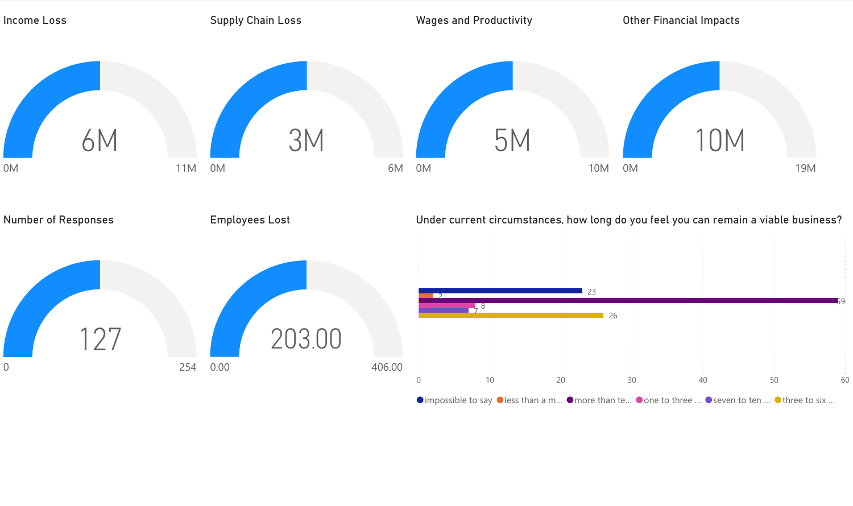

 $\bullet$  impossible to say  $\bullet$  less than a m...  $\bullet$  more than te...  $\bullet$  one to three ...  $\bullet$  seven to ten ...  $\bullet$  three to six ...